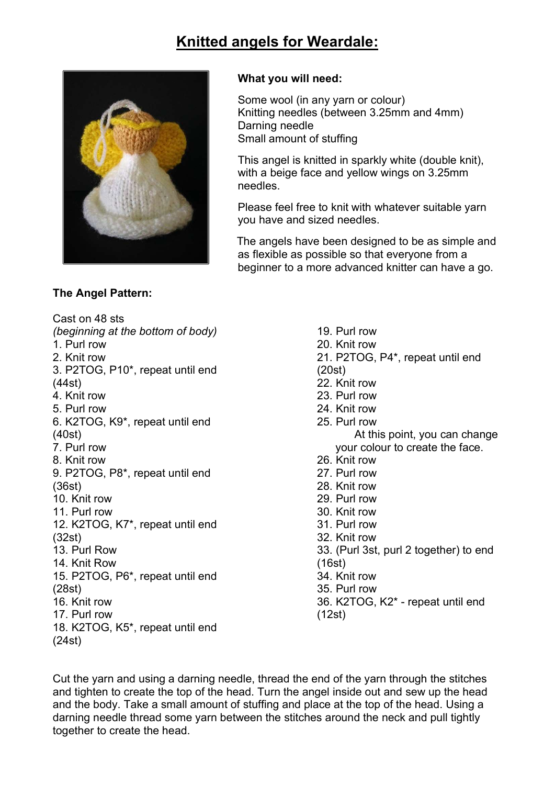# Knitted angels for Weardale:



## The Angel Pattern:

#### What you will need:

Some wool (in any yarn or colour) Knitting needles (between 3.25mm and 4mm) Darning needle Small amount of stuffing

This angel is knitted in sparkly white (double knit), with a beige face and yellow wings on 3.25mm needles.

Please feel free to knit with whatever suitable yarn you have and sized needles.

 The angels have been designed to be as simple and as flexible as possible so that everyone from a beginner to a more advanced knitter can have a go.

Cast on 48 sts (beginning at the bottom of body) 1. Purl row 2. Knit row 3. P2TOG, P10\*, repeat until end (44st) 4. Knit row 5. Purl row 6. K2TOG, K9\*, repeat until end (40st) 7. Purl row 8. Knit row 9. P2TOG, P8\*, repeat until end (36st) 10. Knit row 11. Purl row 12. K2TOG, K7\*, repeat until end (32st) 13. Purl Row 14. Knit Row 15. P2TOG, P6\*, repeat until end (28st) 16. Knit row 17. Purl row 18. K2TOG, K5\*, repeat until end (24st)

19. Purl row 20. Knit row 21. P2TOG, P4\*, repeat until end (20st) 22. Knit row 23. Purl row 24. Knit row 25. Purl row At this point, you can change your colour to create the face. 26. Knit row 27. Purl row 28. Knit row 29. Purl row 30. Knit row 31. Purl row 32. Knit row 33. (Purl 3st, purl 2 together) to end (16st) 34. Knit row 35. Purl row 36. K2TOG, K2\* - repeat until end (12st)

Cut the yarn and using a darning needle, thread the end of the yarn through the stitches and tighten to create the top of the head. Turn the angel inside out and sew up the head and the body. Take a small amount of stuffing and place at the top of the head. Using a darning needle thread some yarn between the stitches around the neck and pull tightly together to create the head.